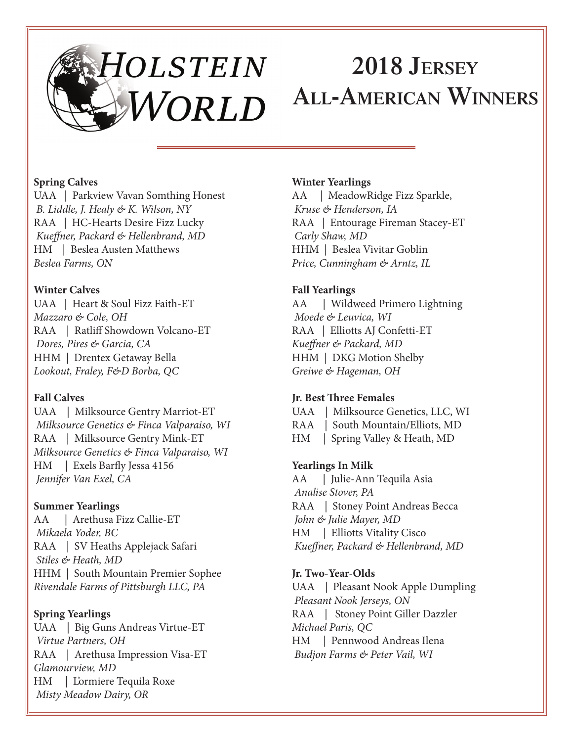# HOLSTEIN **2018 Jersey All-American Winners**WORLD

#### **Spring Calves**

UAA | Parkview Vavan Somthing Honest  *B. Liddle, J. Healy & K. Wilson, NY* RAA | HC-Hearts Desire Fizz Lucky *Kueffner, Packard & Hellenbrand, MD* HM | Beslea Austen Matthews *Beslea Farms, ON*

#### **Winter Calves**

UAA | Heart & Soul Fizz Faith-ET *Mazzaro & Cole, OH* RAA | Ratliff Showdown Volcano-ET  *Dores, Pires & Garcia, CA* HHM | Drentex Getaway Bella *Lookout, Fraley, F&D Borba, QC*

# **Fall Calves**

UAA | Milksource Gentry Marriot-ET  *Milksource Genetics & Finca Valparaiso, WI* RAA | Milksource Gentry Mink-ET *Milksource Genetics & Finca Valparaiso, WI* HM | Exels Barfly Jessa 4156  *Jennifer Van Exel, CA*

# **Summer Yearlings**

AA | Arethusa Fizz Callie-ET  *Mikaela Yoder, BC* RAA | SV Heaths Applejack Safari  *Stiles & Heath, MD* HHM | South Mountain Premier Sophee *Rivendale Farms of Pittsburgh LLC, PA*

# **Spring Yearlings**

UAA | Big Guns Andreas Virtue-ET  *Virtue Partners, OH* RAA | Arethusa Impression Visa-ET *Glamourview, MD* HM | L'ormiere Tequila Roxe  *Misty Meadow Dairy, OR*

#### **Winter Yearlings**

AA | MeadowRidge Fizz Sparkle,  *Kruse & Henderson, IA* RAA | Entourage Fireman Stacey-ET  *Carly Shaw, MD* HHM | Beslea Vivitar Goblin *Price, Cunningham & Arntz, IL*

# **Fall Yearlings**

AA | Wildweed Primero Lightning *Moede & Leuvica, WI* RAA | Elliotts AJ Confetti-ET *Kueffner & Packard, MD* HHM | DKG Motion Shelby *Greiwe & Hageman, OH*

# **Jr. Best Three Females**

UAA | Milksource Genetics, LLC, WI RAA | South Mountain/Elliots, MD HM | Spring Valley & Heath, MD

# **Yearlings In Milk**

AA | Julie-Ann Tequila Asia *Analise Stover, PA* RAA | Stoney Point Andreas Becca  *John & Julie Mayer, MD* HM | Elliotts Vitality Cisco  *Kueffner, Packard & Hellenbrand, MD*

#### **Jr. Two-Year-Olds**

UAA | Pleasant Nook Apple Dumpling *Pleasant Nook Jerseys, ON* RAA | Stoney Point Giller Dazzler *Michael Paris, QC* HM | Pennwood Andreas Ilena  *Budjon Farms & Peter Vail, WI*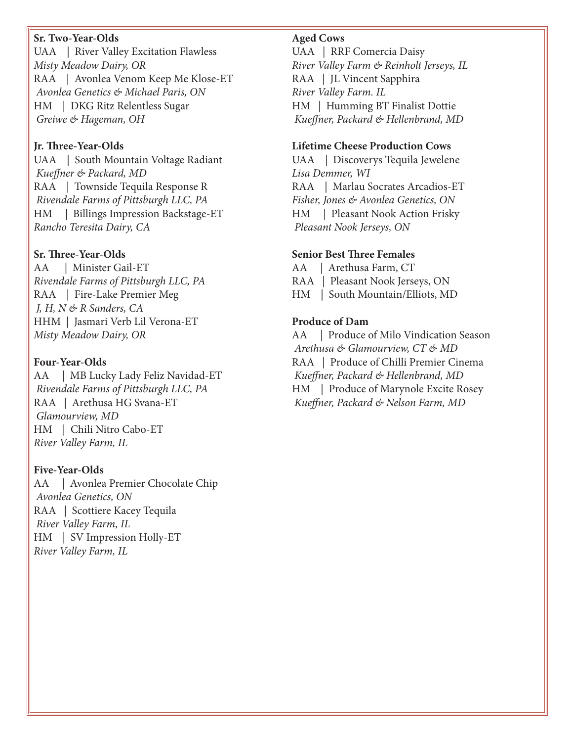#### **Sr. Two-Year-Olds**

UAA | River Valley Excitation Flawless *Misty Meadow Dairy, OR* RAA | Avonlea Venom Keep Me Klose-ET  *Avonlea Genetics & Michael Paris, ON* HM | DKG Ritz Relentless Sugar  *Greiwe & Hageman, OH*

#### **Jr. Three-Year-Olds**

UAA | South Mountain Voltage Radiant  *Kueffner & Packard, MD* RAA | Townside Tequila Response R  *Rivendale Farms of Pittsburgh LLC, PA* HM | Billings Impression Backstage-ET *Rancho Teresita Dairy, CA*

#### **Sr. Three-Year-Olds**

AA | Minister Gail-ET *Rivendale Farms of Pittsburgh LLC, PA* RAA | Fire-Lake Premier Meg  *J, H, N & R Sanders, CA* HHM | Jasmari Verb Lil Verona-ET *Misty Meadow Dairy, OR*

#### **Four-Year-Olds**

AA | MB Lucky Lady Feliz Navidad-ET  *Rivendale Farms of Pittsburgh LLC, PA* RAA | Arethusa HG Svana-ET  *Glamourview, MD* HM | Chili Nitro Cabo-ET *River Valley Farm, IL*

#### **Five-Year-Olds**

AA | Avonlea Premier Chocolate Chip  *Avonlea Genetics, ON* RAA | Scottiere Kacey Tequila  *River Valley Farm, IL* HM | SV Impression Holly-ET *River Valley Farm, IL*

#### **Aged Cows**

UAA | RRF Comercia Daisy *River Valley Farm & Reinholt Jerseys, IL* RAA | JL Vincent Sapphira *River Valley Farm. IL* HM | Humming BT Finalist Dottie  *Kueffner, Packard & Hellenbrand, MD*

#### **Lifetime Cheese Production Cows**

UAA | Discoverys Tequila Jewelene *Lisa Demmer, WI* RAA | Marlau Socrates Arcadios-ET *Fisher, Jones & Avonlea Genetics, ON* HM | Pleasant Nook Action Frisky  *Pleasant Nook Jerseys, ON*

#### **Senior Best Three Females**

AA | Arethusa Farm, CT RAA | Pleasant Nook Jerseys, ON HM | South Mountain/Elliots, MD

#### **Produce of Dam**

AA | Produce of Milo Vindication Season  *Arethusa & Glamourview, CT & MD* RAA | Produce of Chilli Premier Cinema  *Kueffner, Packard & Hellenbrand, MD* HM | Produce of Marynole Excite Rosey  *Kueffner, Packard & Nelson Farm, MD*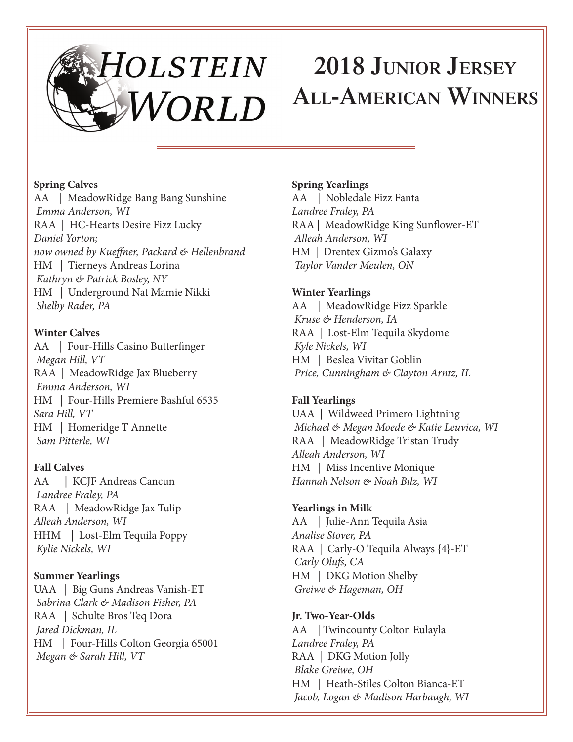# **2018 Junior Jersey All-American Winners**WORLD

#### **Spring Calves**

AA | MeadowRidge Bang Bang Sunshine  *Emma Anderson, WI* RAA | HC-Hearts Desire Fizz Lucky *Daniel Yorton; now owned by Kueffner, Packard & Hellenbrand* HM | Tierneys Andreas Lorina  *Kathryn & Patrick Bosley, NY* HM | Underground Nat Mamie Nikki  *Shelby Rader, PA*

# **Winter Calves**

AA | Four-Hills Casino Butterfinger *Megan Hill, VT* RAA | MeadowRidge Jax Blueberry  *Emma Anderson, WI* HM | Four-Hills Premiere Bashful 6535 *Sara Hill, VT* HM | Homeridge T Annette  *Sam Pitterle, WI*

# **Fall Calves**

AA | KCJF Andreas Cancun  *Landree Fraley, PA* RAA | MeadowRidge Jax Tulip *Alleah Anderson, WI* HHM | Lost-Elm Tequila Poppy  *Kylie Nickels, WI*

# **Summer Yearlings**

UAA | Big Guns Andreas Vanish-ET  *Sabrina Clark & Madison Fisher, PA* RAA | Schulte Bros Teq Dora  *Jared Dickman, IL* HM | Four-Hills Colton Georgia 65001  *Megan & Sarah Hill, VT*

#### **Spring Yearlings**

AA | Nobledale Fizz Fanta *Landree Fraley, PA* RAA | MeadowRidge King Sunflower-ET  *Alleah Anderson, WI* HM | Drentex Gizmo's Galaxy  *Taylor Vander Meulen, ON*

# **Winter Yearlings**

AA | MeadowRidge Fizz Sparkle  *Kruse & Henderson, IA* RAA | Lost-Elm Tequila Skydome  *Kyle Nickels, WI* HM | Beslea Vivitar Goblin  *Price, Cunningham & Clayton Arntz, IL*

# **Fall Yearlings**

UAA | Wildweed Primero Lightning *Michael & Megan Moede & Katie Leuvica, WI* RAA | MeadowRidge Tristan Trudy *Alleah Anderson, WI* HM | Miss Incentive Monique *Hannah Nelson & Noah Bilz, WI*

# **Yearlings in Milk**

AA | Julie-Ann Tequila Asia *Analise Stover, PA* RAA | Carly-O Tequila Always {4}-ET  *Carly Olufs, CA* HM | DKG Motion Shelby  *Greiwe & Hageman, OH*

# **Jr. Two-Year-Olds**

AA | Twincounty Colton Eulayla *Landree Fraley, PA* RAA | DKG Motion Jolly  *Blake Greiwe, OH* HM | Heath-Stiles Colton Bianca-ET  *Jacob, Logan & Madison Harbaugh, WI*